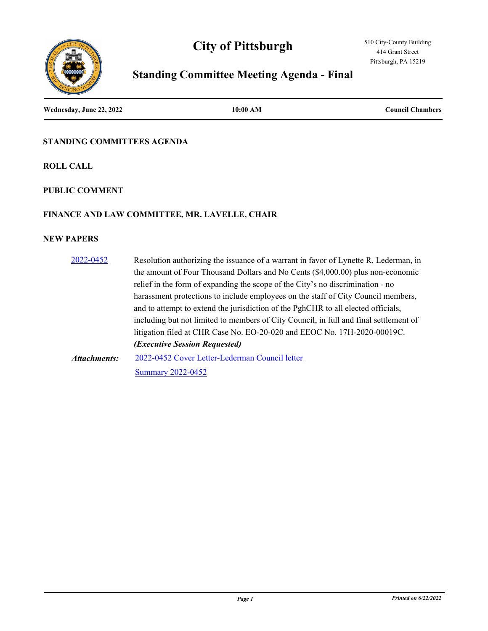



# **Standing Committee Meeting Agenda - Final**

**Wednesday, June 22, 2022 10:00 AM Council Chambers**

## **STANDING COMMITTEES AGENDA**

**ROLL CALL**

## **PUBLIC COMMENT**

## **FINANCE AND LAW COMMITTEE, MR. LAVELLE, CHAIR**

| 2022-0452    | Resolution authorizing the issuance of a warrant in favor of Lynette R. Lederman, in  |
|--------------|---------------------------------------------------------------------------------------|
|              | the amount of Four Thousand Dollars and No Cents (\$4,000.00) plus non-economic       |
|              | relief in the form of expanding the scope of the City's no discrimination - no        |
|              | harassment protections to include employees on the staff of City Council members,     |
|              | and to attempt to extend the jurisdiction of the PghCHR to all elected officials,     |
|              | including but not limited to members of City Council, in full and final settlement of |
|              | litigation filed at CHR Case No. EO-20-020 and EEOC No. 17H-2020-00019C.              |
|              | ( <i>Executive Session Requested</i> )                                                |
| Attachments: | 2022-0452 Cover Letter-Lederman Council letter                                        |
|              | <b>Summary 2022-0452</b>                                                              |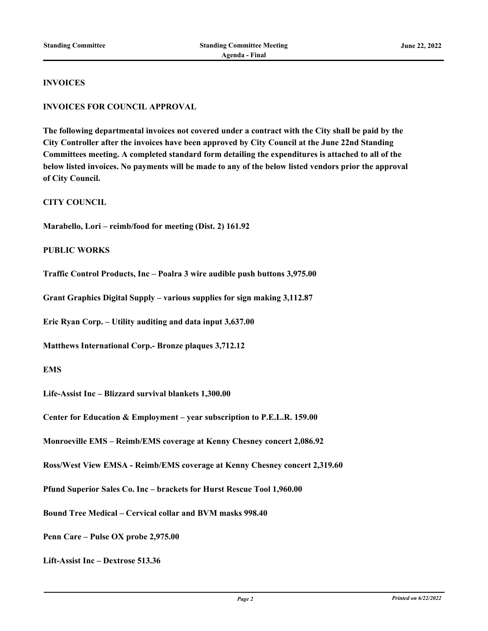#### **INVOICES**

#### **INVOICES FOR COUNCIL APPROVAL**

**The following departmental invoices not covered under a contract with the City shall be paid by the City Controller after the invoices have been approved by City Council at the June 22nd Standing Committees meeting. A completed standard form detailing the expenditures is attached to all of the below listed invoices. No payments will be made to any of the below listed vendors prior the approval of City Council.**

**CITY COUNCIL**

**Marabello, Lori – reimb/food for meeting (Dist. 2) 161.92**

**PUBLIC WORKS**

**Traffic Control Products, Inc – Poalra 3 wire audible push buttons 3,975.00**

**Grant Graphics Digital Supply – various supplies for sign making 3,112.87**

**Eric Ryan Corp. – Utility auditing and data input 3,637.00**

**Matthews International Corp.- Bronze plaques 3,712.12**

## **EMS**

**Life-Assist Inc – Blizzard survival blankets 1,300.00**

**Center for Education & Employment – year subscription to P.E.L.R. 159.00**

**Monroeville EMS – Reimb/EMS coverage at Kenny Chesney concert 2,086.92**

**Ross/West View EMSA - Reimb/EMS coverage at Kenny Chesney concert 2,319.60**

**Pfund Superior Sales Co. Inc – brackets for Hurst Rescue Tool 1,960.00**

**Bound Tree Medical – Cervical collar and BVM masks 998.40**

**Penn Care – Pulse OX probe 2,975.00**

**Lift-Assist Inc – Dextrose 513.36**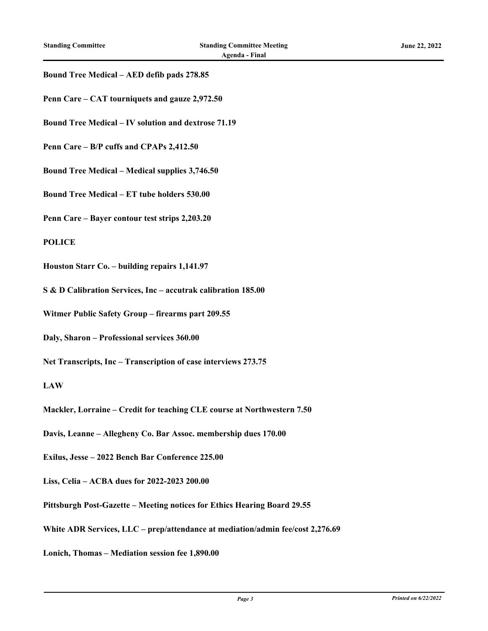#### **Bound Tree Medical – AED defib pads 278.85**

- **Penn Care CAT tourniquets and gauze 2,972.50**
- **Bound Tree Medical IV solution and dextrose 71.19**
- **Penn Care B/P cuffs and CPAPs 2,412.50**
- **Bound Tree Medical Medical supplies 3,746.50**
- **Bound Tree Medical ET tube holders 530.00**
- **Penn Care Bayer contour test strips 2,203.20**

#### **POLICE**

- **Houston Starr Co. building repairs 1,141.97**
- **S & D Calibration Services, Inc accutrak calibration 185.00**
- **Witmer Public Safety Group firearms part 209.55**
- **Daly, Sharon Professional services 360.00**
- **Net Transcripts, Inc Transcription of case interviews 273.75**

#### **LAW**

- **Mackler, Lorraine Credit for teaching CLE course at Northwestern 7.50**
- **Davis, Leanne Allegheny Co. Bar Assoc. membership dues 170.00**
- **Exilus, Jesse 2022 Bench Bar Conference 225.00**
- **Liss, Celia ACBA dues for 2022-2023 200.00**
- **Pittsburgh Post-Gazette Meeting notices for Ethics Hearing Board 29.55**
- **White ADR Services, LLC prep/attendance at mediation/admin fee/cost 2,276.69**
- **Lonich, Thomas Mediation session fee 1,890.00**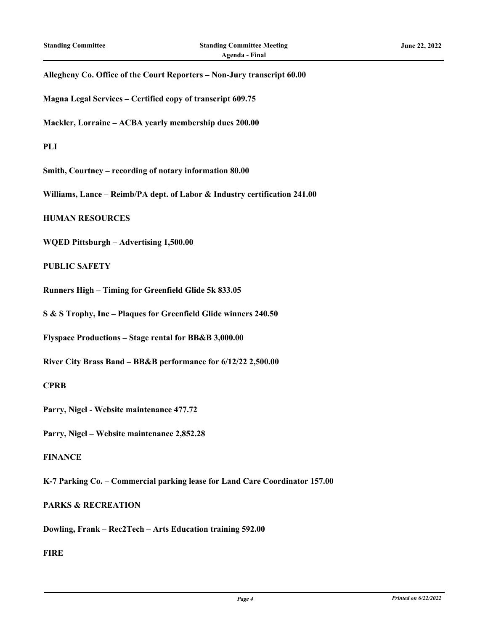#### **Allegheny Co. Office of the Court Reporters – Non-Jury transcript 60.00**

**Magna Legal Services – Certified copy of transcript 609.75**

**Mackler, Lorraine – ACBA yearly membership dues 200.00**

**PLI**

**Smith, Courtney – recording of notary information 80.00**

**Williams, Lance – Reimb/PA dept. of Labor & Industry certification 241.00**

**HUMAN RESOURCES**

**WQED Pittsburgh – Advertising 1,500.00**

**PUBLIC SAFETY**

**Runners High – Timing for Greenfield Glide 5k 833.05**

**S & S Trophy, Inc – Plaques for Greenfield Glide winners 240.50**

**Flyspace Productions – Stage rental for BB&B 3,000.00**

**River City Brass Band – BB&B performance for 6/12/22 2,500.00**

**CPRB**

**Parry, Nigel - Website maintenance 477.72**

**Parry, Nigel – Website maintenance 2,852.28**

### **FINANCE**

**K-7 Parking Co. – Commercial parking lease for Land Care Coordinator 157.00**

#### **PARKS & RECREATION**

**Dowling, Frank – Rec2Tech – Arts Education training 592.00**

## **FIRE**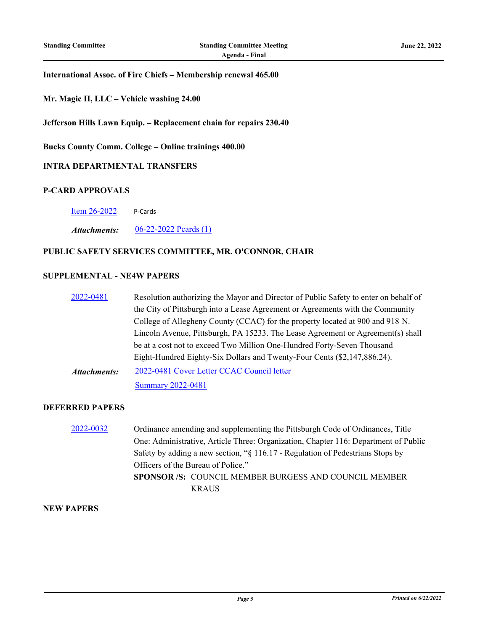#### **International Assoc. of Fire Chiefs – Membership renewal 465.00**

**Mr. Magic II, LLC – Vehicle washing 24.00**

**Jefferson Hills Lawn Equip. – Replacement chain for repairs 230.40**

**Bucks County Comm. College – Online trainings 400.00**

#### **INTRA DEPARTMENTAL TRANSFERS**

#### **P-CARD APPROVALS**

[Item 26-2022](http://pittsburgh.legistar.com/gateway.aspx?m=l&id=/matter.aspx?key=27889) P-Cards

*Attachments:* [06-22-2022 Pcards \(1\)](http://pittsburgh.legistar.com/gateway.aspx?M=F&ID=19073723-68db-49e9-848c-2ec6e5ccd1cb.xlsx)

## **PUBLIC SAFETY SERVICES COMMITTEE, MR. O'CONNOR, CHAIR**

#### **SUPPLEMENTAL - NE4W PAPERS**

[2022-0481](http://pittsburgh.legistar.com/gateway.aspx?m=l&id=/matter.aspx?key=27878) Resolution authorizing the Mayor and Director of Public Safety to enter on behalf of the City of Pittsburgh into a Lease Agreement or Agreements with the Community College of Allegheny County (CCAC) for the property located at 900 and 918 N. Lincoln Avenue, Pittsburgh, PA 15233. The Lease Agreement or Agreement(s) shall be at a cost not to exceed Two Million One-Hundred Forty-Seven Thousand Eight-Hundred Eighty-Six Dollars and Twenty-Four Cents (\$2,147,886.24). [2022-0481 Cover Letter CCAC Council letter](http://pittsburgh.legistar.com/gateway.aspx?M=F&ID=a8a37855-85b8-4b74-b0c6-f6f68b2c9631.pdf) *Attachments:*

[Summary 2022-0481](http://pittsburgh.legistar.com/gateway.aspx?M=F&ID=c16b7f5c-fc56-49fa-89e8-f10be0302e35.docx)

#### **DEFERRED PAPERS**

[2022-0032](http://pittsburgh.legistar.com/gateway.aspx?m=l&id=/matter.aspx?key=27324) Ordinance amending and supplementing the Pittsburgh Code of Ordinances, Title One: Administrative, Article Three: Organization, Chapter 116: Department of Public Safety by adding a new section, "§ 116.17 - Regulation of Pedestrians Stops by Officers of the Bureau of Police." **SPONSOR /S:** COUNCIL MEMBER BURGESS AND COUNCIL MEMBER KRAUS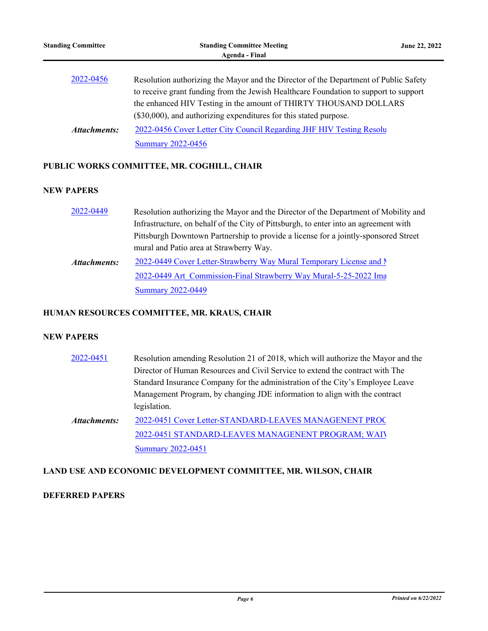[2022-0456 Cover Letter City Council Regarding JHF HIV Testing Resolu](http://pittsburgh.legistar.com/gateway.aspx?M=F&ID=33be1d42-d472-4d22-b6bd-7c3b8fee3ced.pdf)tion [Summary 2022-0456](http://pittsburgh.legistar.com/gateway.aspx?M=F&ID=824b96a8-f67a-4323-82f6-584e47a787e5.docx) *Attachments:*

## **PUBLIC WORKS COMMITTEE, MR. COGHILL, CHAIR**

## **NEW PAPERS**

| 2022-0449           | Resolution authorizing the Mayor and the Director of the Department of Mobility and  |
|---------------------|--------------------------------------------------------------------------------------|
|                     | Infrastructure, on behalf of the City of Pittsburgh, to enter into an agreement with |
|                     | Pittsburgh Downtown Partnership to provide a license for a jointly-sponsored Street  |
|                     | mural and Patio area at Strawberry Way.                                              |
| <b>Attachments:</b> | 2022-0449 Cover Letter-Strawberry Way Mural Temporary License and N                  |
|                     | 2022-0449 Art Commission-Final Strawberry Way Mural-5-25-2022 Ima                    |
|                     | <b>Summary 2022-0449</b>                                                             |

## **HUMAN RESOURCES COMMITTEE, MR. KRAUS, CHAIR**

## **NEW PAPERS**

| 2022-0451           | Resolution amending Resolution 21 of 2018, which will authorize the Mayor and the |
|---------------------|-----------------------------------------------------------------------------------|
|                     | Director of Human Resources and Civil Service to extend the contract with The     |
|                     | Standard Insurance Company for the administration of the City's Employee Leave    |
|                     | Management Program, by changing JDE information to align with the contract        |
|                     | legislation.                                                                      |
| <b>Attachments:</b> | 2022-0451 Cover Letter-STANDARD-LEAVES MANAGENENT PROC                            |
|                     | 2022-0451 STANDARD-LEAVES MANAGENENT PROGRAM; WAIV                                |
|                     | <b>Summary 2022-0451</b>                                                          |

## **LAND USE AND ECONOMIC DEVELOPMENT COMMITTEE, MR. WILSON, CHAIR**

## **DEFERRED PAPERS**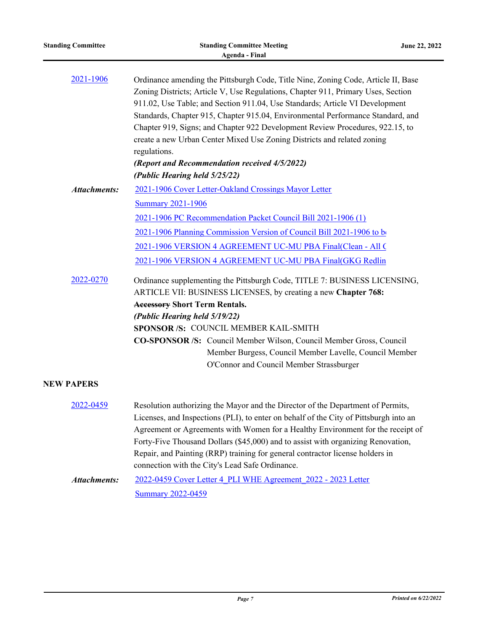| <b>Standing Committee</b> | <b>Standing Committee Meeting</b><br><b>Agenda - Final</b>                                                                                                                                                                                                                                                                                                                                                                                                                                                                                                                                             | June 22, 2022 |
|---------------------------|--------------------------------------------------------------------------------------------------------------------------------------------------------------------------------------------------------------------------------------------------------------------------------------------------------------------------------------------------------------------------------------------------------------------------------------------------------------------------------------------------------------------------------------------------------------------------------------------------------|---------------|
| 2021-1906                 | Ordinance amending the Pittsburgh Code, Title Nine, Zoning Code, Article II, Base<br>Zoning Districts; Article V, Use Regulations, Chapter 911, Primary Uses, Section<br>911.02, Use Table; and Section 911.04, Use Standards; Article VI Development<br>Standards, Chapter 915, Chapter 915.04, Environmental Performance Standard, and<br>Chapter 919, Signs; and Chapter 922 Development Review Procedures, 922.15, to<br>create a new Urban Center Mixed Use Zoning Districts and related zoning<br>regulations.<br>(Report and Recommendation received 4/5/2022)<br>(Public Hearing held 5/25/22) |               |
| <b>Attachments:</b>       | 2021-1906 Cover Letter-Oakland Crossings Mayor Letter                                                                                                                                                                                                                                                                                                                                                                                                                                                                                                                                                  |               |
|                           | <b>Summary 2021-1906</b>                                                                                                                                                                                                                                                                                                                                                                                                                                                                                                                                                                               |               |
|                           | 2021-1906 PC Recommendation Packet Council Bill 2021-1906 (1)                                                                                                                                                                                                                                                                                                                                                                                                                                                                                                                                          |               |
|                           | 2021-1906 Planning Commission Version of Council Bill 2021-1906 to be                                                                                                                                                                                                                                                                                                                                                                                                                                                                                                                                  |               |
|                           | 2021-1906 VERSION 4 AGREEMENT UC-MU PBA Final(Clean - All C                                                                                                                                                                                                                                                                                                                                                                                                                                                                                                                                            |               |
|                           | 2021-1906 VERSION 4 AGREEMENT UC-MU PBA Final(GKG Redlin                                                                                                                                                                                                                                                                                                                                                                                                                                                                                                                                               |               |
| 2022-0270                 | Ordinance supplementing the Pittsburgh Code, TITLE 7: BUSINESS LICENSING,<br>ARTICLE VII: BUSINESS LICENSES, by creating a new Chapter 768:<br><b>Accessory Short Term Rentals.</b><br>(Public Hearing held 5/19/22)<br>SPONSOR /S: COUNCIL MEMBER KAIL-SMITH<br>CO-SPONSOR /S: Council Member Wilson, Council Member Gross, Council<br>Member Burgess, Council Member Lavelle, Council Member<br>O'Connor and Council Member Strassburger                                                                                                                                                             |               |
| <b>NEW PAPERS</b>         |                                                                                                                                                                                                                                                                                                                                                                                                                                                                                                                                                                                                        |               |
| 2022-0459                 | Resolution authorizing the Mayor and the Director of the Department of Permits,<br>Licenses, and Inspections (PLI), to enter on behalf of the City of Pittsburgh into an<br>Agreement or Agreements with Women for a Healthy Environment for the receipt of<br>Forty-Five Thousand Dollars (\$45,000) and to assist with organizing Renovation,<br>Repair, and Painting (RRP) training for general contractor license holders in<br>connection with the City's Lead Safe Ordinance.                                                                                                                    |               |
| <b>Attachments:</b>       | 2022-0459 Cover Letter 4 PLI WHE Agreement 2022 - 2023 Letter                                                                                                                                                                                                                                                                                                                                                                                                                                                                                                                                          |               |

**[Summary 2022-0459](http://pittsburgh.legistar.com/gateway.aspx?M=F&ID=872576f1-65b6-4891-8957-73bbc9a9c591.docx)**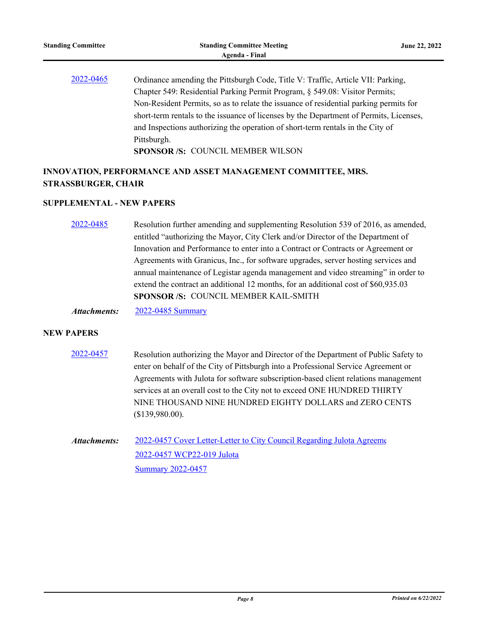[2022-0465](http://pittsburgh.legistar.com/gateway.aspx?m=l&id=/matter.aspx?key=27860) Ordinance amending the Pittsburgh Code, Title V: Traffic, Article VII: Parking, Chapter 549: Residential Parking Permit Program, § 549.08: Visitor Permits; Non-Resident Permits, so as to relate the issuance of residential parking permits for short-term rentals to the issuance of licenses by the Department of Permits, Licenses, and Inspections authorizing the operation of short-term rentals in the City of Pittsburgh.

**SPONSOR /S:** COUNCIL MEMBER WILSON

# **INNOVATION, PERFORMANCE AND ASSET MANAGEMENT COMMITTEE, MRS. STRASSBURGER, CHAIR**

## **SUPPLEMENTAL - NEW PAPERS**

[2022-0485](http://pittsburgh.legistar.com/gateway.aspx?m=l&id=/matter.aspx?key=27882) Resolution further amending and supplementing Resolution 539 of 2016, as amended, entitled "authorizing the Mayor, City Clerk and/or Director of the Department of Innovation and Performance to enter into a Contract or Contracts or Agreement or Agreements with Granicus, Inc., for software upgrades, server hosting services and annual maintenance of Legistar agenda management and video streaming" in order to extend the contract an additional 12 months, for an additional cost of \$60,935.03 **SPONSOR /S:** COUNCIL MEMBER KAIL-SMITH

*Attachments:* [2022-0485 Summary](http://pittsburgh.legistar.com/gateway.aspx?M=F&ID=cbaff440-43f9-4d9d-9e4b-2b112938b4e6.docx)

- [2022-0457](http://pittsburgh.legistar.com/gateway.aspx?m=l&id=/matter.aspx?key=27852) Resolution authorizing the Mayor and Director of the Department of Public Safety to enter on behalf of the City of Pittsburgh into a Professional Service Agreement or Agreements with Julota for software subscription-based client relations management services at an overall cost to the City not to exceed ONE HUNDRED THIRTY NINE THOUSAND NINE HUNDRED EIGHTY DOLLARS and ZERO CENTS (\$139,980.00).
- [2022-0457 Cover Letter-Letter to City Council Regarding Julota Agreeme](http://pittsburgh.legistar.com/gateway.aspx?M=F&ID=c7dcd3fa-ed21-4241-8243-3ce0c1f5104a.pdf) [2022-0457 WCP22-019 Julota](http://pittsburgh.legistar.com/gateway.aspx?M=F&ID=13381a41-7e6a-4195-97a7-b148eb71309d.pdf) [Summary 2022-0457](http://pittsburgh.legistar.com/gateway.aspx?M=F&ID=7f62d9e4-c005-4530-b81f-0bea7e34802b.docx) *Attachments:*